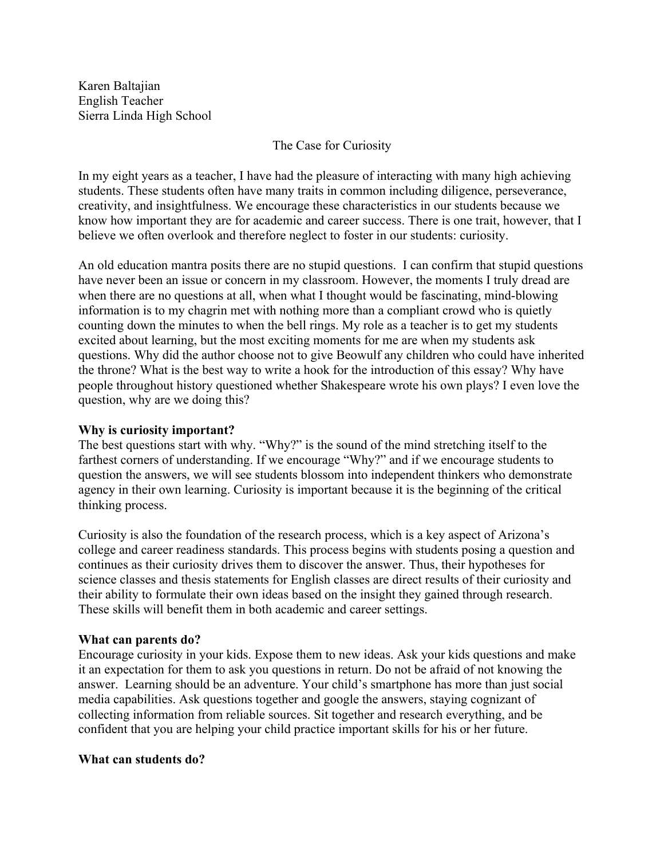Karen Baltajian English Teacher Sierra Linda High School

## The Case for Curiosity

In my eight years as a teacher, I have had the pleasure of interacting with many high achieving students. These students often have many traits in common including diligence, perseverance, creativity, and insightfulness. We encourage these characteristics in our students because we know how important they are for academic and career success. There is one trait, however, that I believe we often overlook and therefore neglect to foster in our students: curiosity.

An old education mantra posits there are no stupid questions. I can confirm that stupid questions have never been an issue or concern in my classroom. However, the moments I truly dread are when there are no questions at all, when what I thought would be fascinating, mind-blowing information is to my chagrin met with nothing more than a compliant crowd who is quietly counting down the minutes to when the bell rings. My role as a teacher is to get my students excited about learning, but the most exciting moments for me are when my students ask questions. Why did the author choose not to give Beowulf any children who could have inherited the throne? What is the best way to write a hook for the introduction of this essay? Why have people throughout history questioned whether Shakespeare wrote his own plays? I even love the question, why are we doing this?

## **Why is curiosity important?**

The best questions start with why. "Why?" is the sound of the mind stretching itself to the farthest corners of understanding. If we encourage "Why?" and if we encourage students to question the answers, we will see students blossom into independent thinkers who demonstrate agency in their own learning. Curiosity is important because it is the beginning of the critical thinking process.

Curiosity is also the foundation of the research process, which is a key aspect of Arizona's college and career readiness standards. This process begins with students posing a question and continues as their curiosity drives them to discover the answer. Thus, their hypotheses for science classes and thesis statements for English classes are direct results of their curiosity and their ability to formulate their own ideas based on the insight they gained through research. These skills will benefit them in both academic and career settings.

## **What can parents do?**

Encourage curiosity in your kids. Expose them to new ideas. Ask your kids questions and make it an expectation for them to ask you questions in return. Do not be afraid of not knowing the answer. Learning should be an adventure. Your child's smartphone has more than just social media capabilities. Ask questions together and google the answers, staying cognizant of collecting information from reliable sources. Sit together and research everything, and be confident that you are helping your child practice important skills for his or her future.

## **What can students do?**